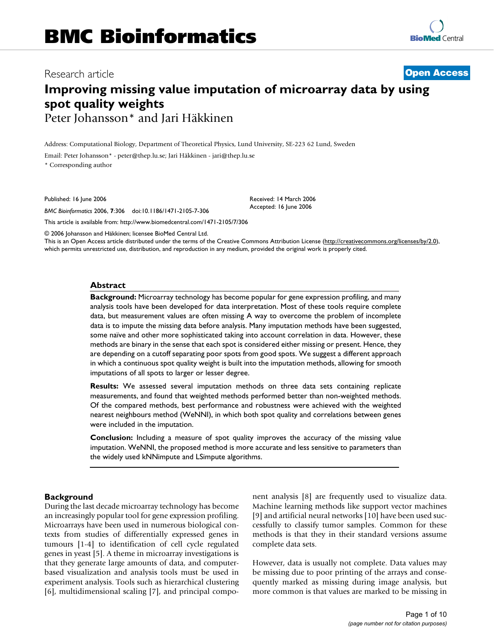## Research article **[Open Access](http://www.biomedcentral.com/info/about/charter/)**

# **Improving missing value imputation of microarray data by using spot quality weights** Peter Johansson\* and Jari Häkkinen

Address: Computational Biology, Department of Theoretical Physics, Lund University, SE-223 62 Lund, Sweden

Email: Peter Johansson\* - peter@thep.lu.se; Jari Häkkinen - jari@thep.lu.se

\* Corresponding author

Published: 16 June 2006

*BMC Bioinformatics* 2006, **7**:306 doi:10.1186/1471-2105-7-306

[This article is available from: http://www.biomedcentral.com/1471-2105/7/306](http://www.biomedcentral.com/1471-2105/7/306)

© 2006 Johansson and Häkkinen; licensee BioMed Central Ltd.

This is an Open Access article distributed under the terms of the Creative Commons Attribution License [\(http://creativecommons.org/licenses/by/2.0\)](http://creativecommons.org/licenses/by/2.0), which permits unrestricted use, distribution, and reproduction in any medium, provided the original work is properly cited.

Received: 14 March 2006 Accepted: 16 June 2006

#### **Abstract**

**Background:** Microarray technology has become popular for gene expression profiling, and many analysis tools have been developed for data interpretation. Most of these tools require complete data, but measurement values are often missing A way to overcome the problem of incomplete data is to impute the missing data before analysis. Many imputation methods have been suggested, some naïve and other more sophisticated taking into account correlation in data. However, these methods are binary in the sense that each spot is considered either missing or present. Hence, they are depending on a cutoff separating poor spots from good spots. We suggest a different approach in which a continuous spot quality weight is built into the imputation methods, allowing for smooth imputations of all spots to larger or lesser degree.

**Results:** We assessed several imputation methods on three data sets containing replicate measurements, and found that weighted methods performed better than non-weighted methods. Of the compared methods, best performance and robustness were achieved with the weighted nearest neighbours method (WeNNI), in which both spot quality and correlations between genes were included in the imputation.

**Conclusion:** Including a measure of spot quality improves the accuracy of the missing value imputation. WeNNI, the proposed method is more accurate and less sensitive to parameters than the widely used kNNimpute and LSimpute algorithms.

#### **Background**

During the last decade microarray technology has become an increasingly popular tool for gene expression profiling. Microarrays have been used in numerous biological contexts from studies of differentially expressed genes in tumours [1-4] to identification of cell cycle regulated genes in yeast [5]. A theme in microarray investigations is that they generate large amounts of data, and computerbased visualization and analysis tools must be used in experiment analysis. Tools such as hierarchical clustering [6], multidimensional scaling [7], and principal component analysis [8] are frequently used to visualize data. Machine learning methods like support vector machines [9] and artificial neural networks [10] have been used successfully to classify tumor samples. Common for these methods is that they in their standard versions assume complete data sets.

However, data is usually not complete. Data values may be missing due to poor printing of the arrays and consequently marked as missing during image analysis, but more common is that values are marked to be missing in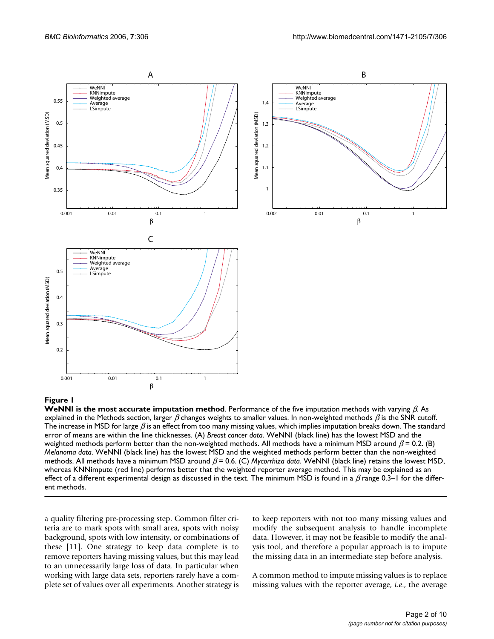

## **Figure 1**

**WeNNI is the most accurate imputation method**. Performance of the five imputation methods with varying β. As explained in the Methods section, larger  $\beta$  changes weights to smaller values. In non-weighted methods  $\beta$  is the SNR cutoff. The increase in MSD for large  $\beta$  is an effect from too many missing values, which implies imputation breaks down. The standard error of means are within the line thicknesses. (A) *Breast cancer data*. WeNNI (black line) has the lowest MSD and the weighted methods perform better than the non-weighted methods. All methods have a minimum MSD around  $\beta$  = 0.2. (B) *Melanoma data*. WeNNI (black line) has the lowest MSD and the weighted methods perform better than the non-weighted methods. All methods have a minimum MSD around β = 0.6. (C) *Mycorrhiza data*. WeNNI (black line) retains the lowest MSD, whereas KNNimpute (red line) performs better that the weighted reporter average method. This may be explained as an effect of a different experimental design as discussed in the text. The minimum MSD is found in a  $\beta$  range 0.3–1 for the different methods.

a quality filtering pre-processing step. Common filter criteria are to mark spots with small area, spots with noisy background, spots with low intensity, or combinations of these [11]. One strategy to keep data complete is to remove reporters having missing values, but this may lead to an unnecessarily large loss of data. In particular when working with large data sets, reporters rarely have a complete set of values over all experiments. Another strategy is to keep reporters with not too many missing values and modify the subsequent analysis to handle incomplete data. However, it may not be feasible to modify the analysis tool, and therefore a popular approach is to impute the missing data in an intermediate step before analysis.

A common method to impute missing values is to replace missing values with the reporter average, *i.e*., the average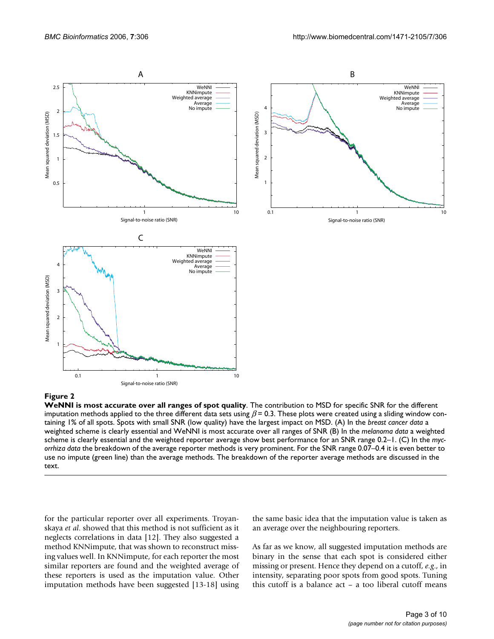

## Figure 2

**WeNNI is most accurate over all ranges of spot quality**. The contribution to MSD for specific SNR for the different imputation methods applied to the three different data sets using  $\beta$  = 0.3. These plots were created using a sliding window containing 1% of all spots. Spots with small SNR (low quality) have the largest impact on MSD. (A) In the *breast cancer data* a weighted scheme is clearly essential and WeNNI is most accurate over all ranges of SNR (B) In the *melanoma data* a weighted scheme is clearly essential and the weighted reporter average show best performance for an SNR range 0.2–1. (C) In the *mycorrhiza data* the breakdown of the average reporter methods is very prominent. For the SNR range 0.07–0.4 it is even better to use no impute (green line) than the average methods. The breakdown of the reporter average methods are discussed in the text.

for the particular reporter over all experiments. Troyanskaya *et al*. showed that this method is not sufficient as it neglects correlations in data [12]. They also suggested a method KNNimpute, that was shown to reconstruct missing values well. In KNNimpute, for each reporter the most similar reporters are found and the weighted average of these reporters is used as the imputation value. Other imputation methods have been suggested [13-18] using the same basic idea that the imputation value is taken as an average over the neighbouring reporters.

As far as we know, all suggested imputation methods are binary in the sense that each spot is considered either missing or present. Hence they depend on a cutoff, *e.g*., in intensity, separating poor spots from good spots. Tuning this cutoff is a balance act – a too liberal cutoff means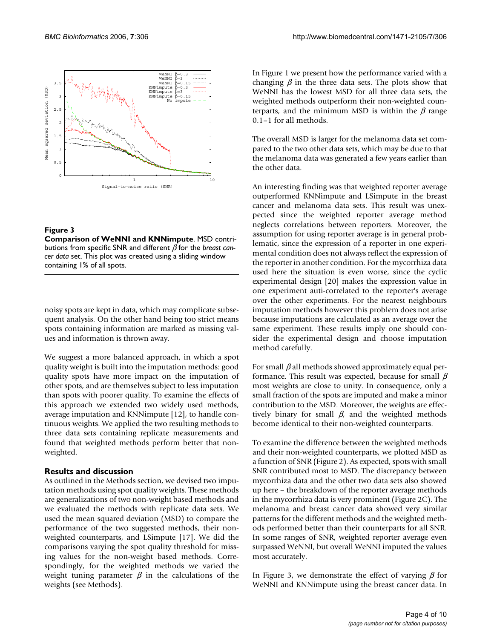

#### **Figure 3**

**Comparison of WeNNI and KNNimpute**. MSD contributions from specific SNR and different β for the *breast cancer data* set. This plot was created using a sliding window containing 1% of all spots.

noisy spots are kept in data, which may complicate subsequent analysis. On the other hand being too strict means spots containing information are marked as missing values and information is thrown away.

We suggest a more balanced approach, in which a spot quality weight is built into the imputation methods: good quality spots have more impact on the imputation of other spots, and are themselves subject to less imputation than spots with poorer quality. To examine the effects of this approach we extended two widely used methods, average imputation and KNNimpute [12], to handle continuous weights. We applied the two resulting methods to three data sets containing replicate measurements and found that weighted methods perform better that nonweighted.

### **Results and discussion**

As outlined in the Methods section, we devised two imputation methods using spot quality weights. These methods are generalizations of two non-weight based methods and we evaluated the methods with replicate data sets. We used the mean squared deviation (MSD) to compare the performance of the two suggested methods, their nonweighted counterparts, and LSimpute [17]. We did the comparisons varying the spot quality threshold for missing values for the non-weight based methods. Correspondingly, for the weighted methods we varied the weight tuning parameter  $\beta$  in the calculations of the weights (see Methods).

In Figure 1 we present how the performance varied with a changing  $\beta$  in the three data sets. The plots show that WeNNI has the lowest MSD for all three data sets, the weighted methods outperform their non-weighted counterparts, and the minimum MSD is within the  $\beta$  range 0.1–1 for all methods.

The overall MSD is larger for the melanoma data set compared to the two other data sets, which may be due to that the melanoma data was generated a few years earlier than the other data.

An interesting finding was that weighted reporter average outperformed KNNimpute and LSimpute in the breast cancer and melanoma data sets. This result was unexpected since the weighted reporter average method neglects correlations between reporters. Moreover, the assumption for using reporter average is in general problematic, since the expression of a reporter in one experimental condition does not always reflect the expression of the reporter in another condition. For the mycorrhiza data used here the situation is even worse, since the cyclic experimental design [20] makes the expression value in one experiment auti-correlated to the reporter's average over the other experiments. For the nearest neighbours imputation methods however this problem does not arise because imputations are calculated as an average over the same experiment. These results imply one should consider the experimental design and choose imputation method carefully.

For small  $\beta$  all methods showed approximately equal performance. This result was expected, because for small  $\beta$ most weights are close to unity. In consequence, only a small fraction of the spots are imputed and make a minor contribution to the MSD. Moreover, the weights are effectively binary for small  $\beta$ , and the weighted methods become identical to their non-weighted counterparts.

To examine the difference between the weighted methods and their non-weighted counterparts, we plotted MSD as a function of SNR (Figure 2). As expected, spots with small SNR contributed most to MSD. The discrepancy between mycorrhiza data and the other two data sets also showed up here – the breakdown of the reporter average methods in the mycorrhiza data is very prominent (Figure 2C). The melanoma and breast cancer data showed very similar patterns for the different methods and the weighted methods performed better than their counterparts for all SNR. In some ranges of SNR, weighted reporter average even surpassed WeNNI, but overall WeNNI imputed the values most accurately.

In Figure 3, we demonstrate the effect of varying  $\beta$  for WeNNI and KNNimpute using the breast cancer data. In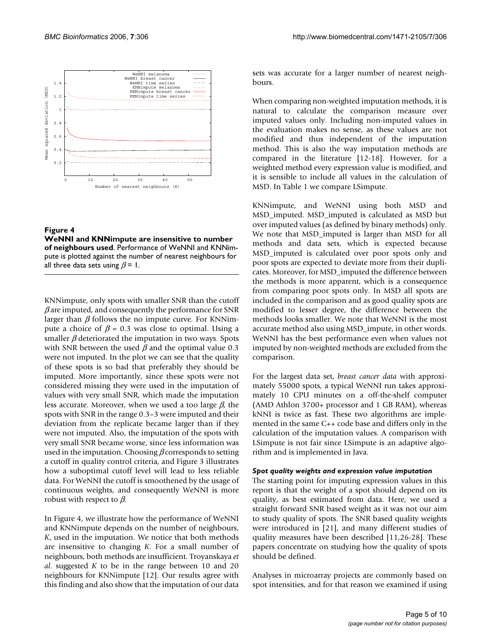

**Figure 4 WeNNI and KNNimpute are insensitive to number of neighbours used**. Performance of WeNNI and KNNimpute is plotted against the number of nearest neighbours for all three data sets using  $\beta = 1$ .

KNNimpute, only spots with smaller SNR than the cutoff  $\beta$  are imputed, and consequently the performance for SNR larger than  $\beta$  follows the no impute curve. For KNNimpute a choice of  $\beta$  = 0.3 was close to optimal. Using a smaller  $\beta$  deteriorated the imputation in two ways. Spots with SNR between the used  $\beta$  and the optimal value 0.3 were not imputed. In the plot we can see that the quality of these spots is so bad that preferably they should be imputed. More importantly, since these spots were not considered missing they were used in the imputation of values with very small SNR, which made the imputation less accurate. Moreover, when we used a too large  $\beta$ , the spots with SNR in the range 0.3–3 were imputed and their deviation from the replicate became larger than if they were not imputed. Also, the imputation of the spots with very small SNR became worse, since less information was used in the imputation. Choosing  $\beta$  corresponds to setting a cutoff in quality control criteria, and Figure 3 illustrates how a suboptimal cutoff level will lead to less reliable data. For WeNNI the cutoff is smoothened by the usage of continuous weights, and consequently WeNNI is more robust with respect to  $\beta$ .

In Figure 4, we illustrate how the performance of WeNNI and KNNimpute depends on the number of neighbours, *K*, used in the imputation. We notice that both methods are insensitive to changing *K*. For a small number of neighbours, both methods are insufficient. Troyanskaya *et al*. suggested *K* to be in the range between 10 and 20 neighbours for KNNimpute [12]. Our results agree with this finding and also show that the imputation of our data

sets was accurate for a larger number of nearest neighbours.

When comparing non-weighted imputation methods, it is natural to calculate the comparison measure over imputed values only. Including non-imputed values in the evaluation makes no sense, as these values are not modified and thus independent of the imputation method. This is also the way imputation methods are compared in the literature [12-18]. However, for a weighted method every expression value is modified, and it is sensible to include all values in the calculation of MSD. In Table 1 we compare LSimpute.

KNNimpute, and WeNNI using both MSD and MSD\_imputed. MSD\_imputed is calculated as MSD but over imputed values (as defined by binary methods) only. We note that MSD\_imputed is larger than MSD for all methods and data sets, which is expected because MSD\_imputed is calculated over poor spots only and poor spots are expected to deviate more from their duplicates. Moreover, for MSD\_imputed the difference between the methods is more apparent, which is a consequence from comparing poor spots only. In MSD all spots are included in the comparison and as good quality spots are modified to lesser degree, the difference between the methods looks smaller. We note that WeNNI is the most accurate method also using MSD\_impute, in other words. WeNNI has the best performance even when values not imputed by non-weighted methods are excluded from the comparison.

For the largest data set, *breast cancer data* with approximately 55000 spots, a typical WeNNI run takes approximately 10 CPU minutes on a off-the-shelf computer (AMD Athlon 3700+ processor and 1 GB RAM), whereas kNNI is twice as fast. These two algorithms are implemented in the same C++ code base and differs only in the calculation of the imputation values. A comparison with LSimpute is not fair since LSimpute is an adaptive algorithm and is implemented in Java.

#### *Spot quality weights and expression value imputation*

The starting point for imputing expression values in this report is that the weight of a spot should depend on its quality, as best estimated from data. Here, we used a straight forward SNR based weight as it was not our aim to study quality of spots. The SNR based quality weights were introduced in [21], and many different studies of quality measures have been described [11,26-28]. These papers concentrate on studying how the quality of spots should be defined.

Analyses in microarray projects are commonly based on spot intensities, and for that reason we examined if using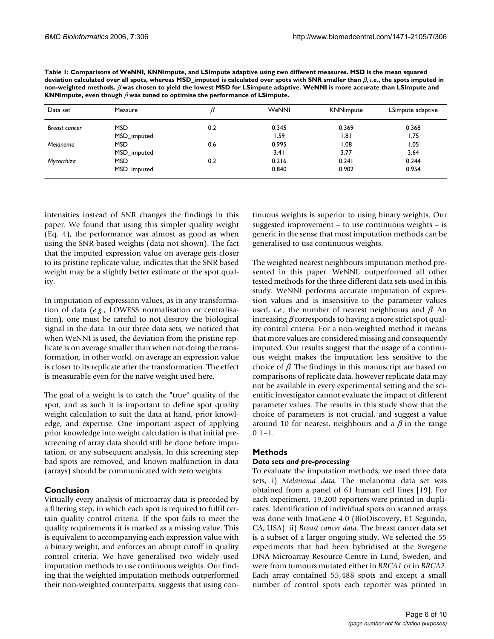| Table 1: Comparisons of WeNNI, KNNimpute, and LSimpute adaptive using two different measures. MSD is the mean squared                        |
|----------------------------------------------------------------------------------------------------------------------------------------------|
| deviation calculated over all spots, whereas MSD_imputed is calculated over spots with SNR smaller than $\beta$ , i.e., the spots imputed in |
| non-weighted methods. $\beta$ was chosen to yield the lowest MSD for LSimpute adaptive. WeNNI is more accurate than LSimpute and             |
| KNN impute, even though $\beta$ was tuned to optimise the performance of LS impute.                                                          |

| Data set      | Measure     |     | WeNNI | <b>KNNimpute</b> | LSimpute adaptive |
|---------------|-------------|-----|-------|------------------|-------------------|
| Breast cancer | <b>MSD</b>  | 0.2 | 0.345 | 0.369            | 0.368             |
|               | MSD_imputed |     | l.59  | 1.81             | 1.75              |
| Melanoma      | <b>MSD</b>  | 0.6 | 0.995 | 1.08             | 1.05              |
|               | MSD_imputed |     | 3.41  | 3.77             | 3.64              |
| Mycorrhiza    | <b>MSD</b>  | 0.2 | 0.216 | 0.241            | 0.244             |
|               | MSD_imputed |     | 0.840 | 0.902            | 0.954             |

intensities instead of SNR changes the findings in this paper. We found that using this simpler quality weight (Eq. 4), the performance was almost as good as when using the SNR based weights (data not shown). The fact that the imputed expression value on average gets closer to its pristine replicate value, indicates that the SNR based weight may be a slightly better estimate of the spot quality.

In imputation of expression values, as in any transformation of data (*e.g*., LOWESS normalisation or centralisation), one must be careful to not destroy the biological signal in the data. In our three data sets, we noticed that when WeNNI is used, the deviation from the pristine replicate is on average smaller than when not doing the transformation, in other world, on average an expression value is closer to its replicate after the transformation. The effect is measurable even for the naïve weight used here.

The goal of a weight is to catch the "true" quality of the spot, and as such it is important to define spot quality weight calculation to suit the data at hand, prior knowledge, and expertise. One important aspect of applying prior knowledge into weight calculation is that initial prescreening of array data should still be done before imputation, or any subsequent analysis. In this screening step bad spots are removed, and known malfunction in data (arrays) should be communicated with zero weights.

## **Conclusion**

Virtually every analysis of microarray data is preceded by a filtering step, in which each spot is required to fulfil certain quality control criteria. If the spot fails to meet the quality requirements it is marked as a missing value. This is equivalent to accompanying each expression value with a binary weight, and enforces an abrupt cutoff in quality control criteria. We have generalised two widely used imputation methods to use continuous weights. Our finding that the weighted imputation methods outperformed their non-weighted counterparts, suggests that using continuous weights is superior to using binary weights. Our suggested improvement – to use continuous weights – is generic in the sense that most imputation methods can be generalised to use continuous weights.

The weighted nearest neighbours imputation method presented in this paper. WeNNI, outperformed all other tested methods for the three different data sets used in this study. WeNNI performs accurate imputation of expression values and is insensitive to the parameter values used, *i.e*., the number of nearest neighbours and β. An increasing  $\beta$  corresponds to having a more strict spot quality control criteria. For a non-weighted method it means that more values are considered missing and consequently imputed. Our results suggest that the usage of a continuous weight makes the imputation less sensitive to the choice of  $β$ . The findings in this manuscript are based on comparisons of replicate data, however replicate data may not be available in every experimental setting and the scientific investigator cannot evaluate the impact of different parameter values. The results in this study show that the choice of parameters is not crucial, and suggest a value around 10 for nearest, neighbours and a  $\beta$  in the range  $0.1 - 1.$ 

## **Methods**

## *Data sets and pre-processing*

To evaluate the imputation methods, we used three data sets, i) *Melanoma data*. The melanoma data set was obtained from a panel of 61 human cell lines [19]. For each experiment, 19,200 reporters were printed in duplicates. Identification of individual spots on scanned arrays was done with ImaGene 4.0 (BioDiscovery, E1 Segundo, CA, USA). ii) *Breast cancer data*. The breast cancer data set is a subset of a larger ongoing study. We selected the 55 experiments that had been hybridised at the Swegene DNA Microarray Resource Centre in Lund, Sweden, and were from tumours mutated either in *BRCA1* or in *BRCA2*. Each array contained 55,488 spots and except a small number of control spots each reporter was printed in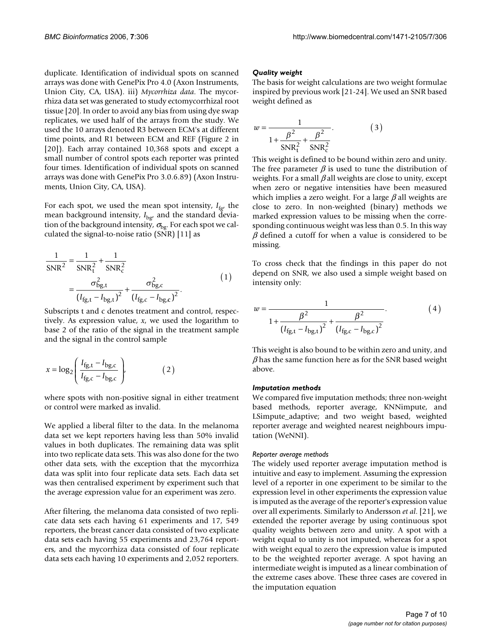duplicate. Identification of individual spots on scanned arrays was done with GenePix Pro 4.0 (Axon Instruments, Union City, CA, USA). iii) *Mycorrhiza data*. The mycorrhiza data set was generated to study ectomycorrhizal root tissue [20]. In order to avoid any bias from using dye swap replicates, we used half of the arrays from the study. We used the 10 arrays denoted R3 between ECM's at different time points, and R1 between ECM and REF (Figure 2 in [20]). Each array contained 10,368 spots and except a small number of control spots each reporter was printed four times. Identification of individual spots on scanned arrays was done with GenePix Pro 3.0.6.89) (Axon Instruments, Union City, CA, USA).

For each spot, we used the mean spot intensity,  $I_{fg}$ , the mean background intensity, *I*<sub>bg</sub>, and the standard deviation of the background intensity,  $\sigma_{\!bg}$ . For each spot we calculated the signal-to-noise ratio  $(SNR)$  [11] as

$$
\frac{1}{SNR^2} = \frac{1}{SNR_t^2} + \frac{1}{SNR_c^2}
$$
\n
$$
= \frac{\sigma_{bg,t}^2}{(I_{fg,t} - I_{bg,t})^2} + \frac{\sigma_{bg,c}^2}{(I_{fg,c} - I_{bg,c})^2}.
$$
\n(1)

Subscripts t and c denotes treatment and control, respectively. As expression value, *x*, we used the logarithm to base 2 of the ratio of the signal in the treatment sample and the signal in the control sample

$$
x = \log_2 \left( \frac{I_{fg,t} - I_{bg,c}}{I_{fg,c} - I_{bg,c}} \right),
$$
 (2)

where spots with non-positive signal in either treatment or control were marked as invalid.

We applied a liberal filter to the data. In the melanoma data set we kept reporters having less than 50% invalid values in both duplicates. The remaining data was split into two replicate data sets. This was also done for the two other data sets, with the exception that the mycorrhiza data was split into four replicate data sets. Each data set was then centralised experiment by experiment such that the average expression value for an experiment was zero.

After filtering, the melanoma data consisted of two replicate data sets each having 61 experiments and 17, 549 reporters, the breast cancer data consisted of two explicate data sets each having 55 experiments and 23,764 reporters, and the mycorrhiza data consisted of four replicate data sets each having 10 experiments and 2,052 reporters.

#### *Quality weight*

The basis for weight calculations are two weight formulae inspired by previous work [21-24]. We used an SNR based weight defined as

$$
w = \frac{1}{1 + \frac{\beta^2}{SNR_t^2} + \frac{\beta^2}{SNR_c^2}}.
$$
 (3)

This weight is defined to be bound within zero and unity. The free parameter  $\beta$  is used to tune the distribution of weights. For a small  $\beta$  all weights are close to unity, except when zero or negative intensities have been measured which implies a zero weight. For a large  $\beta$  all weights are close to zero. In non-weighted (binary) methods we marked expression values to be missing when the corresponding continuous weight was less than 0.5. In this way  $\beta$  defined a cutoff for when a value is considered to be missing.

To cross check that the findings in this paper do not depend on SNR, we also used a simple weight based on intensity only:

$$
w = \frac{1}{1 + \frac{\beta^2}{(I_{\text{fg,t}} - I_{\text{bg,t}})^2} + \frac{\beta^2}{(I_{\text{fg,c}} - I_{\text{bg,c}})^2}}
$$
(4)

This weight is also bound to be within zero and unity, and  $\beta$  has the same function here as for the SNR based weight above.

#### *Imputation methods*

We compared five imputation methods; three non-weight based methods, reporter average, KNNimpute, and LSimpute\_adaptive; and two weight based, weighted reporter average and weighted nearest neighbours imputation (WeNNI).

#### *Reporter average methods*

The widely used reporter average imputation method is intuitive and easy to implement. Assuming the expression level of a reporter in one experiment to be similar to the expression level in other experiments the expression value is imputed as the average of the reporter's expression value over all experiments. Similarly to Andersson *et al*. [21], we extended the reporter average by using continuous spot quality weights between zero and unity. A spot with a weight equal to unity is not imputed, whereas for a spot with weight equal to zero the expression value is imputed to be the weighted reporter average. A spot having an intermediate weight is imputed as a linear combination of the extreme cases above. These three cases are covered in the imputation equation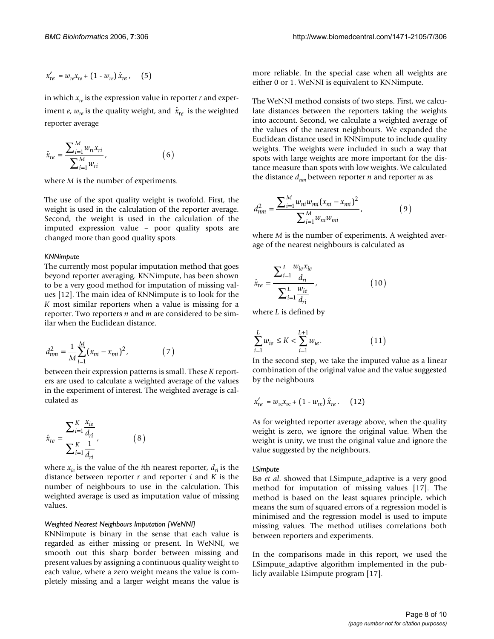$$
x'_{re} = w_{re}x_{re} + (1 - w_{re})\,\hat{x}_{re} \,, \quad (5)
$$

in which  $x_{re}$  is the expression value in reporter  $r$  and experiment *e*,  $w_{re}$  is the quality weight, and  $\hat{x}_{re}$  is the weighted reporter average

$$
\hat{x}_{re} = \frac{\sum_{i=1}^{M} w_{ri} x_{ri}}{\sum_{i=1}^{M} w_{ri}},
$$
\n(6)

where *M* is the number of experiments.

The use of the spot quality weight is twofold. First, the weight is used in the calculation of the reporter average. Second, the weight is used in the calculation of the imputed expression value – poor quality spots are changed more than good quality spots.

#### *KNNimpute*

The currently most popular imputation method that goes beyond reporter averaging. KNNimpute, has been shown to be a very good method for imputation of missing values [12]. The main idea of KNNimpute is to look for the *K* most similar reporters when a value is missing for a reporter. Two reporters *n* and *m* are considered to be similar when the Euclidean distance.

$$
d_{nm}^2 = \frac{1}{M} \sum_{i=1}^{M} (x_{ni} - x_{mi})^2, \qquad (7)
$$

between their expression patterns is small. These *K* reporters are used to calculate a weighted average of the values in the experiment of interest. The weighted average is calculated as

$$
\hat{x}_{re} = \frac{\sum_{i=1}^{K} \frac{x_{ie}}{d_{ri}}}{\sum_{i=1}^{K} \frac{1}{d_{ri}}},
$$
(8)

where  $x_{ie}$  is the value of the *i*th nearest reporter,  $d_{ri}$  is the distance between reporter *r* and reporter *i* and *K* is the number of neighbours to use in the calculation. This weighted average is used as imputation value of missing values.

#### *Weighted Nearest Neighbours Imputation [WeNNI]*

KNNimpute is binary in the sense that each value is regarded as either missing or present. In WeNNI, we smooth out this sharp border between missing and present values by assigning a continuous quality weight to each value, where a zero weight means the value is completely missing and a larger weight means the value is more reliable. In the special case when all weights are either 0 or 1. WeNNI is equivalent to KNNimpute.

The WeNNI method consists of two steps. First, we calculate distances between the reporters taking the weights into account. Second, we calculate a weighted average of the values of the nearest neighbours. We expanded the Euclidean distance used in KNNimpute to include quality weights. The weights were included in such a way that spots with large weights are more important for the distance measure than spots with low weights. We calculated the distance *dnm* between reporter *n* and reporter *m* as

$$
d_{nm}^2 = \frac{\sum_{i=1}^{M} w_{ni} w_{mi} (x_{ni} - x_{mi})^2}{\sum_{i=1}^{M} w_{ni} w_{mi}},
$$
(9)

where *M* is the number of experiments. A weighted average of the nearest neighbours is calculated as

$$
\hat{x}_{re} = \frac{\sum_{i=1}^{L} \frac{w_{ie} x_{ie}}{d_{ri}}}{\sum_{i=1}^{L} \frac{w_{ie}}{d_{ri}}},
$$
\n(10)

where *L* is defined by

$$
\sum_{i=1}^{L} w_{ie} \le K < \sum_{i=1}^{L+1} w_{ie}.\tag{11}
$$

In the second step, we take the imputed value as a linear combination of the original value and the value suggested by the neighbours

$$
x'_{re} = w_{\rm re} x_{\rm re} + (1 - w_{\rm re}) \hat{x}_{re} \,. \qquad (12)
$$

As for weighted reporter average above, when the quality weight is zero, we ignore the original value. When the weight is unity, we trust the original value and ignore the value suggested by the neighbours.

#### *LSimpute*

Bø *et al*. showed that LSimpute\_adaptive is a very good method for imputation of missing values [17]. The method is based on the least squares principle, which means the sum of squared errors of a regression model is minimised and the regression model is used to impute missing values. The method utilises correlations both between reporters and experiments.

In the comparisons made in this report, we used the LSimpute\_adaptive algorithm implemented in the publicly available LSimpute program [17].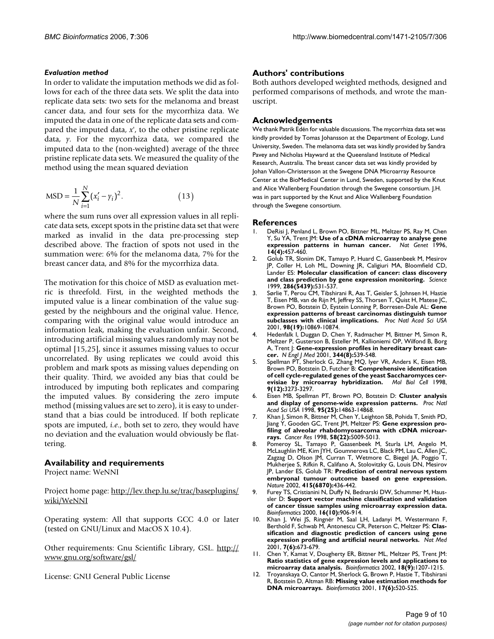#### *Evaluation method*

In order to validate the imputation methods we did as follows for each of the three data sets. We split the data into replicate data sets: two sets for the melanoma and breast cancer data, and four sets for the mycorrhiza data. We imputed the data in one of the replicate data sets and compared the imputed data, *x*', to the other pristine replicate data, *y*. For the mycorrhiza data, we compared the imputed data to the (non-weighted) average of the three pristine replicate data sets. We measured the quality of the method using the mean squared deviation

$$
MSD = \frac{1}{N} \sum_{i=1}^{N} (x_i' - y_i)^2.
$$
 (13)

where the sum runs over all expression values in all replicate data sets, except spots in the pristine data set that were marked as invalid in the data pre-processing step described above. The fraction of spots not used in the summation were: 6% for the melanoma data, 7% for the breast cancer data, and 8% for the mycorrhiza data.

The motivation for this choice of MSD as evaluation metric is threefold. First, in the weighted methods the imputed value is a linear combination of the value suggested by the neighbours and the original value. Hence, comparing with the original value would introduce an information leak, making the evaluation unfair. Second, introducing artificial missing values randomly may not be optimal [15,25], since it assumes missing values to occur uncorrelated. By using replicates we could avoid this problem and mark spots as missing values depending on their quality. Third, we avoided any bias that could be introduced by imputing both replicates and comparing the imputed values. By considering the zero impute method (missing values are set to zero), it is easy to understand that a bias could be introduced. If both replicate spots are imputed, *i.e*., both set to zero, they would have no deviation and the evaluation would obviously be flattering.

#### **Availability and requirements**

Project name: WeNNI

Project home page: [http://lev.thep.lu.se/trac/baseplugins/](http://lev.thep.lu.se/trac/baseplugins/wiki/WeNNI) [wiki/WeNNI](http://lev.thep.lu.se/trac/baseplugins/wiki/WeNNI)

Operating system: All that supports GCC 4.0 or later (tested on GNU/Linux and MacOS X 10.4).

Other requirements: Gnu Scientific Library, GSL. [http://](http://www.gnu.org/software/gsl/) [www.gnu.org/software/gsl/](http://www.gnu.org/software/gsl/)

License: GNU General Public License

#### **Authors' contributions**

Both authors developed weighted methods, designed and performed comparisons of methods, and wrote the manuscript.

#### **Acknowledgements**

We thank Patrik Edén for valuable discussions. The mycorrhiza data set was kindly provided by Tomas Johansson at the Department of Ecology, Lund University, Sweden. The melanoma data set was kindly provided by Sandra Pavey and Nicholas Hayward at the Queensland Institute of Medical Research, Australia. The breast cancer data set was kindly provided by Johan Vallon-Christersson at the Swegene DNA Microarray Resource Center at the BioMedical Center in Lund, Sweden, supported by the Knut and Alice Wallenberg Foundation through the Swegene consortium. J.H. was in part supported by the Knut and Alice Wallenberg Foundation through the Swegene consortium.

#### **References**

- 1. DeRisi J, Penland L, Brown PO, Bittner ML, Meltzer PS, Ray M, Chen Y, Su YA, Trent JM: **[Use of a cDNA microarray to analyse gene](http://www.ncbi.nlm.nih.gov/entrez/query.fcgi?cmd=Retrieve&db=PubMed&dopt=Abstract&list_uids=8944026) [expression patterns in human cancer.](http://www.ncbi.nlm.nih.gov/entrez/query.fcgi?cmd=Retrieve&db=PubMed&dopt=Abstract&list_uids=8944026)** *Nat Genet* 1996, **14(4):**457-460.
- 2. Golub TR, Slonim DK, Tamayo P, Huard C, Gaasenbeek M, Mesirov JP, Coller H, Loh ML, Downing JR, Caligiuri MA, Bloomfield CD, Lander ES: **[Molecular classification of cancer: class discovery](http://www.ncbi.nlm.nih.gov/entrez/query.fcgi?cmd=Retrieve&db=PubMed&dopt=Abstract&list_uids=10521349) [and class prediction by gene expression monitoring.](http://www.ncbi.nlm.nih.gov/entrez/query.fcgi?cmd=Retrieve&db=PubMed&dopt=Abstract&list_uids=10521349)** *Science* 1999, **286(5439):**531-537.
- 3. Sørlie T, Perou CM, Tibshirani R, Aas T, Geisler S, Johnsen H, Hastie T, Eisen MB, van de Rijn M, Jeffrey SS, Thorsen T, Quist H, Matese JC, Brown PO, Botstein D, Eystein Lonning P, Borresen-Dale AL: **[Gene](http://www.ncbi.nlm.nih.gov/entrez/query.fcgi?cmd=Retrieve&db=PubMed&dopt=Abstract&list_uids=11553815) [expression patterns of breast carcinomas distinguish tumor](http://www.ncbi.nlm.nih.gov/entrez/query.fcgi?cmd=Retrieve&db=PubMed&dopt=Abstract&list_uids=11553815) [subclasses with clinical implications.](http://www.ncbi.nlm.nih.gov/entrez/query.fcgi?cmd=Retrieve&db=PubMed&dopt=Abstract&list_uids=11553815)** *Proc Natl Acad Sci USA* 2001, **98(19):**10869-10874.
- 4. Hedenfalk I, Duggan D, Chen Y, Radmacher M, Bittner M, Simon R, Meltzer P, Gusterson B, Esteller M, Kallioniemi OP, Wilfond B, Borg A, Trent J: **[Gene-expression profiles in hereditary breast can](http://www.ncbi.nlm.nih.gov/entrez/query.fcgi?cmd=Retrieve&db=PubMed&dopt=Abstract&list_uids=11207349)[cer.](http://www.ncbi.nlm.nih.gov/entrez/query.fcgi?cmd=Retrieve&db=PubMed&dopt=Abstract&list_uids=11207349)** *N Engl J Med* 2001, **344(8):**539-548.
- 5. Spellman PT, Sherlock G, Zhang MQ, Iyer VR, Anders K, Eisen MB, Brown PO, Botstein D, Futcher B: **[Comprehensive identification](http://www.ncbi.nlm.nih.gov/entrez/query.fcgi?cmd=Retrieve&db=PubMed&dopt=Abstract&list_uids=9843569) [of cell cycle-regulated genes of the yeast Saccharomyces cer](http://www.ncbi.nlm.nih.gov/entrez/query.fcgi?cmd=Retrieve&db=PubMed&dopt=Abstract&list_uids=9843569)[evisiae by microarray hybridization.](http://www.ncbi.nlm.nih.gov/entrez/query.fcgi?cmd=Retrieve&db=PubMed&dopt=Abstract&list_uids=9843569)** *Mol Biol Cell* 1998, **9(12):**3273-3297.
- 6. Eisen MB, Spellman PT, Brown PO, Botstein D: **[Cluster analysis](http://www.ncbi.nlm.nih.gov/entrez/query.fcgi?cmd=Retrieve&db=PubMed&dopt=Abstract&list_uids=9843981) [and display of genome-wide expression patterns.](http://www.ncbi.nlm.nih.gov/entrez/query.fcgi?cmd=Retrieve&db=PubMed&dopt=Abstract&list_uids=9843981)** *Proc Natl Acad Sci USA* 1998, **95(25):**14863-14868.
- 7. Khan J, Simon R, Bittner M, Chen Y, Leighton SB, Pohida T, Smith PD, Jiang Y, Gooden GC, Trent JM, Meltzer PS: **[Gene expression pro](http://www.ncbi.nlm.nih.gov/entrez/query.fcgi?cmd=Retrieve&db=PubMed&dopt=Abstract&list_uids=9823299)[filing of alveolar rhabdomyosarcoma with cDNA microar](http://www.ncbi.nlm.nih.gov/entrez/query.fcgi?cmd=Retrieve&db=PubMed&dopt=Abstract&list_uids=9823299)[rays.](http://www.ncbi.nlm.nih.gov/entrez/query.fcgi?cmd=Retrieve&db=PubMed&dopt=Abstract&list_uids=9823299)** *Cancer Res* 1998, **58(22):**5009-5013.
- 8. Pomeroy SL, Tamayo P, Gaasenbeek M, Sturla LM, Angelo M, McLaughlin ME, Kim JYH, Goumnerova LC, Black PM, Lau C, Allen JC, Zagzag D, Olson JM, Curran T, Wetmore C, Biegel JA, Poggio T, Mukherjee S, Rifkin R, Califano A, Stolovitzky G, Louis DN, Mesirov JP, Lander ES, Golub TR: **[Prediction of central nervous system](http://www.ncbi.nlm.nih.gov/entrez/query.fcgi?cmd=Retrieve&db=PubMed&dopt=Abstract&list_uids=11807556) [embryonal tumour outcome based on gene expression.](http://www.ncbi.nlm.nih.gov/entrez/query.fcgi?cmd=Retrieve&db=PubMed&dopt=Abstract&list_uids=11807556)** *Nature* 2002, **415(6870):**436-442.
- 9. Furey TS, Cristianini N, Duffy N, Bednarski DW, Schummer M, Haussler D: **[Support vector machine classification and validation](http://www.ncbi.nlm.nih.gov/entrez/query.fcgi?cmd=Retrieve&db=PubMed&dopt=Abstract&list_uids=11120680) [of cancer tissue samples using microarray expression data.](http://www.ncbi.nlm.nih.gov/entrez/query.fcgi?cmd=Retrieve&db=PubMed&dopt=Abstract&list_uids=11120680)** *Bioinformatics* 2000, **16(10):**906-914.
- 10. Khan J, Wei JS, Ringnér M, Saal LH, Ladanyi M, Westermann F, Berthold F, Schwab M, Antonescu CR, Peterson C, Meltzer PS: **[Clas](http://www.ncbi.nlm.nih.gov/entrez/query.fcgi?cmd=Retrieve&db=PubMed&dopt=Abstract&list_uids=11385503)[sification and diagnostic prediction of cancers using gene](http://www.ncbi.nlm.nih.gov/entrez/query.fcgi?cmd=Retrieve&db=PubMed&dopt=Abstract&list_uids=11385503) [expression profiling and artificial neural networks.](http://www.ncbi.nlm.nih.gov/entrez/query.fcgi?cmd=Retrieve&db=PubMed&dopt=Abstract&list_uids=11385503)** *Nat Med* 2001, **7(6):**673-679.
- 11. Chen Y, Kamat V, Dougherty ER, Bittner ML, Meltzer PS, Trent JM: **[Ratio statistics of gene expression levels and applications to](http://www.ncbi.nlm.nih.gov/entrez/query.fcgi?cmd=Retrieve&db=PubMed&dopt=Abstract&list_uids=12217912) [microarray data analysis.](http://www.ncbi.nlm.nih.gov/entrez/query.fcgi?cmd=Retrieve&db=PubMed&dopt=Abstract&list_uids=12217912)** *Bioinformatics* 2002, **18(9):**1207-1215.
- Troyanskaya O, Cantor M, Sherlock G, Brown P, Hastie T, Tibshirani R, Botstein D, Altman RB: **[Missing value estimation methods for](http://www.ncbi.nlm.nih.gov/entrez/query.fcgi?cmd=Retrieve&db=PubMed&dopt=Abstract&list_uids=11395428) [DNA microarrays.](http://www.ncbi.nlm.nih.gov/entrez/query.fcgi?cmd=Retrieve&db=PubMed&dopt=Abstract&list_uids=11395428)** *Bioinformatics* 2001, **17(6):**520-525.